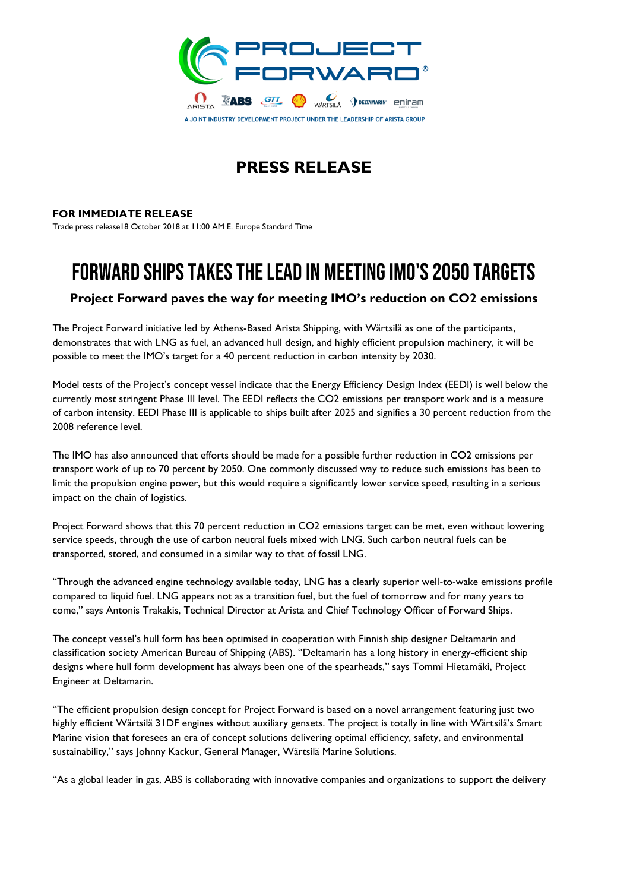

## **PRESS RELEASE**

### **FOR IMMEDIATE RELEASE**

Trade press release18 October 2018 at 11:00 AM E. Europe Standard Time

# **FORWARD SHIPS TAKES THE LEAD IN MEETING IMO'S 2050 TARGETS**

## **Project Forward paves the way for meeting IMO's reduction on CO2 emissions**

The Project Forward initiative led by Athens-Based Arista Shipping, with Wärtsilä as one of the participants, demonstrates that with LNG as fuel, an advanced hull design, and highly efficient propulsion machinery, it will be possible to meet the IMO's target for a 40 percent reduction in carbon intensity by 2030.

Model tests of the Project's concept vessel indicate that the Energy Efficiency Design Index (EEDI) is well below the currently most stringent Phase III level. The EEDI reflects the CO2 emissions per transport work and is a measure of carbon intensity. EEDI Phase III is applicable to ships built after 2025 and signifies a 30 percent reduction from the 2008 reference level.

The IMO has also announced that efforts should be made for a possible further reduction in CO2 emissions per transport work of up to 70 percent by 2050. One commonly discussed way to reduce such emissions has been to limit the propulsion engine power, but this would require a significantly lower service speed, resulting in a serious impact on the chain of logistics.

Project Forward shows that this 70 percent reduction in CO2 emissions target can be met, even without lowering service speeds, through the use of carbon neutral fuels mixed with LNG. Such carbon neutral fuels can be transported, stored, and consumed in a similar way to that of fossil LNG.

"Through the advanced engine technology available today, LNG has a clearly superior well-to-wake emissions profile compared to liquid fuel. LNG appears not as a transition fuel, but the fuel of tomorrow and for many years to come," says Antonis Trakakis, Technical Director at Arista and Chief Technology Officer of Forward Ships.

The concept vessel's hull form has been optimised in cooperation with Finnish ship designer Deltamarin and classification society American Bureau of Shipping (ABS). "Deltamarin has a long history in energy-efficient ship designs where hull form development has always been one of the spearheads," says Tommi Hietamäki, Project Engineer at Deltamarin.

"The efficient propulsion design concept for Project Forward is based on a novel arrangement featuring just two highly efficient Wärtsilä 31DF engines without auxiliary gensets. The project is totally in line with Wärtsilä's Smart Marine vision that foresees an era of concept solutions delivering optimal efficiency, safety, and environmental sustainability," says Johnny Kackur, General Manager, Wärtsilä Marine Solutions.

"As a global leader in gas, ABS is collaborating with innovative companies and organizations to support the delivery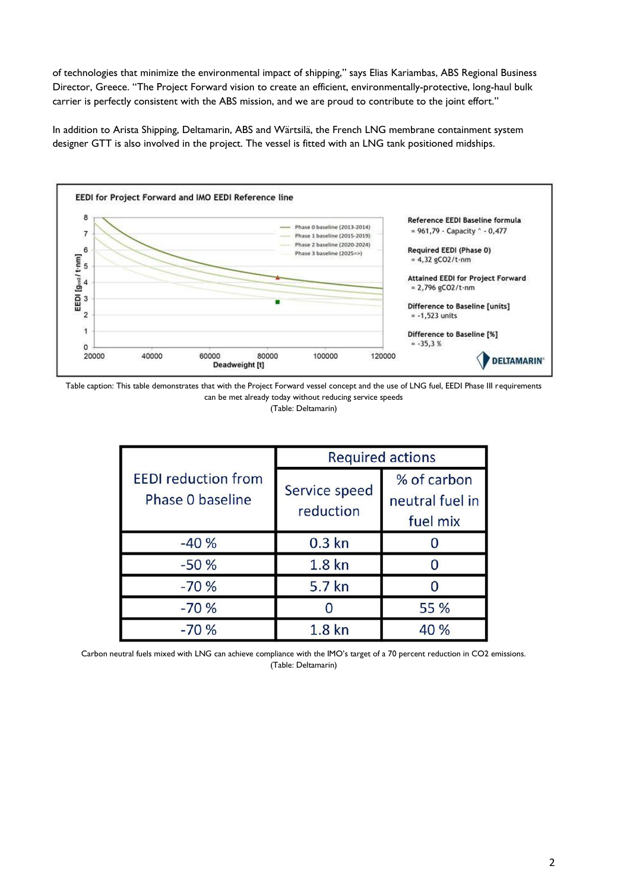of technologies that minimize the environmental impact of shipping," says Elias Kariambas, ABS Regional Business Director, Greece. "The Project Forward vision to create an efficient, environmentally-protective, long-haul bulk carrier is perfectly consistent with the ABS mission, and we are proud to contribute to the joint effort."

In addition to Arista Shipping, Deltamarin, ABS and Wärtsilä, the French LNG membrane containment system designer GTT is also involved in the project. The vessel is fitted with an LNG tank positioned midships.



Table caption: This table demonstrates that with the Project Forward vessel concept and the use of LNG fuel, EEDI Phase III requirements can be met already today without reducing service speeds

(Table: Deltamarin)

| <b>EEDI</b> reduction from<br>Phase 0 baseline | <b>Required actions</b>    |                                            |
|------------------------------------------------|----------------------------|--------------------------------------------|
|                                                | Service speed<br>reduction | % of carbon<br>neutral fuel in<br>fuel mix |
| $-40%$                                         | $0.3$ kn                   |                                            |
| $-50%$                                         | 1.8 <sub>kn</sub>          |                                            |
| $-70%$                                         | 5.7 kn                     |                                            |
| $-70%$                                         |                            | 55 %                                       |
| $-70%$                                         | 1.8 <sub>kn</sub>          | 40 %                                       |

Carbon neutral fuels mixed with LNG can achieve compliance with the IMO's target of a 70 percent reduction in CO2 emissions. (Table: Deltamarin)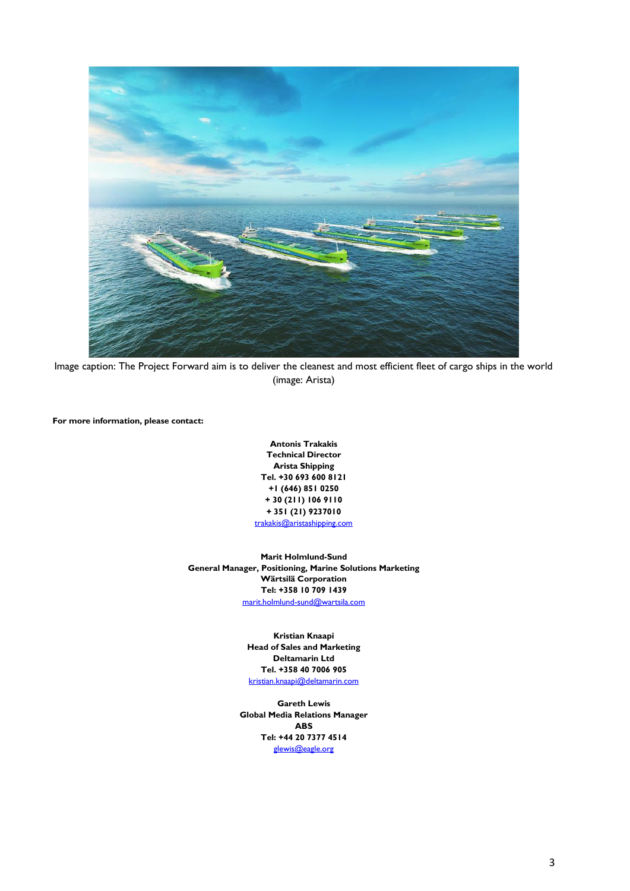

Image caption: The Project Forward aim is to deliver the cleanest and most efficient fleet of cargo ships in the world (image: Arista)

**For more information, please contact:**

**Antonis Trakakis Technical Director Arista Shipping Tel. +30 693 600 8121 +1 (646) 851 0250 + 30 (211) 106 9110 + 351 (21) 9237010** [trakakis@aristashipping.com](mailto:trakakis@aristashipping.com) 

**Marit Holmlund-Sund General Manager, Positioning, Marine Solutions Marketing Wärtsilä Corporation Tel: +358 10 709 1439** [marit.holmlund-sund@wartsila.com](mailto:marit.holmlund-sund@wartsila.com)

> **Kristian Knaapi Head of Sales and Marketing Deltamarin Ltd Tel. +358 40 7006 905** [kristian.knaapi@deltamarin.com](mailto:kristian.knaapi@deltamarin.com)

**Gareth Lewis Global Media Relations Manager ABS Tel: +44 20 7377 4514**  [glewis@eagle.org](mailto:glewis@eagle.org)